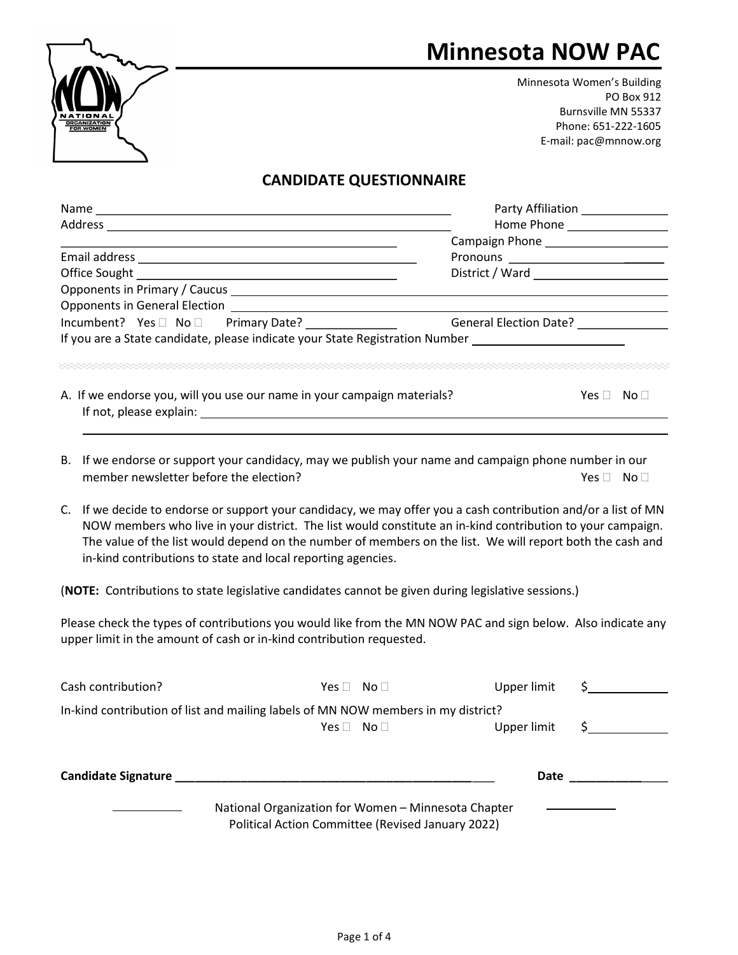## Minnesota NOW PAC



Minnesota Women's Building PO Box 912 Burnsville MN 55337 Phone: 651-222-1605 E-mail: pac@mnnow.org

## CANDIDATE QUESTIONNAIRE

|                                                                                                                                       | Party Affiliation <b>Party Affiliation</b> |  |  |
|---------------------------------------------------------------------------------------------------------------------------------------|--------------------------------------------|--|--|
| Address                                                                                                                               |                                            |  |  |
|                                                                                                                                       |                                            |  |  |
| Email address<br><u> 1980 - Jan Stein Stein Stein Stein Stein Stein Stein Stein Stein Stein Stein Stein Stein Stein Stein Stein S</u> | Pronouns _________________________         |  |  |
|                                                                                                                                       |                                            |  |  |
|                                                                                                                                       |                                            |  |  |
| <b>Opponents in General Election</b>                                                                                                  |                                            |  |  |
|                                                                                                                                       | <b>General Election Date?</b>              |  |  |
| If you are a State candidate, please indicate your State Registration Number                                                          |                                            |  |  |
| A. If we endorse you, will you use our name in your campaign materials?<br>If not, please explain:                                    | No l<br>Yes l                              |  |  |

- B. If we endorse or support your candidacy, may we publish your name and campaign phone number in our member newsletter before the election?  $Yes \Box$  No  $\Box$
- C. If we decide to endorse or support your candidacy, we may offer you a cash contribution and/or a list of MN NOW members who live in your district. The list would constitute an in-kind contribution to your campaign. The value of the list would depend on the number of members on the list. We will report both the cash and in-kind contributions to state and local reporting agencies.

(NOTE: Contributions to state legislative candidates cannot be given during legislative sessions.)

Please check the types of contributions you would like from the MN NOW PAC and sign below. Also indicate any upper limit in the amount of cash or in-kind contribution requested.

| Cash contribution?                                                                | Yes $\Box$                                                                                               | No $\square$ | Upper limit |  |
|-----------------------------------------------------------------------------------|----------------------------------------------------------------------------------------------------------|--------------|-------------|--|
| In-kind contribution of list and mailing labels of MN NOW members in my district? |                                                                                                          |              |             |  |
|                                                                                   | Yes III                                                                                                  | No $\square$ | Upper limit |  |
| <b>Candidate Signature</b>                                                        |                                                                                                          |              | Date        |  |
|                                                                                   | National Organization for Women - Minnesota Chapter<br>Political Action Committee (Revised January 2022) |              |             |  |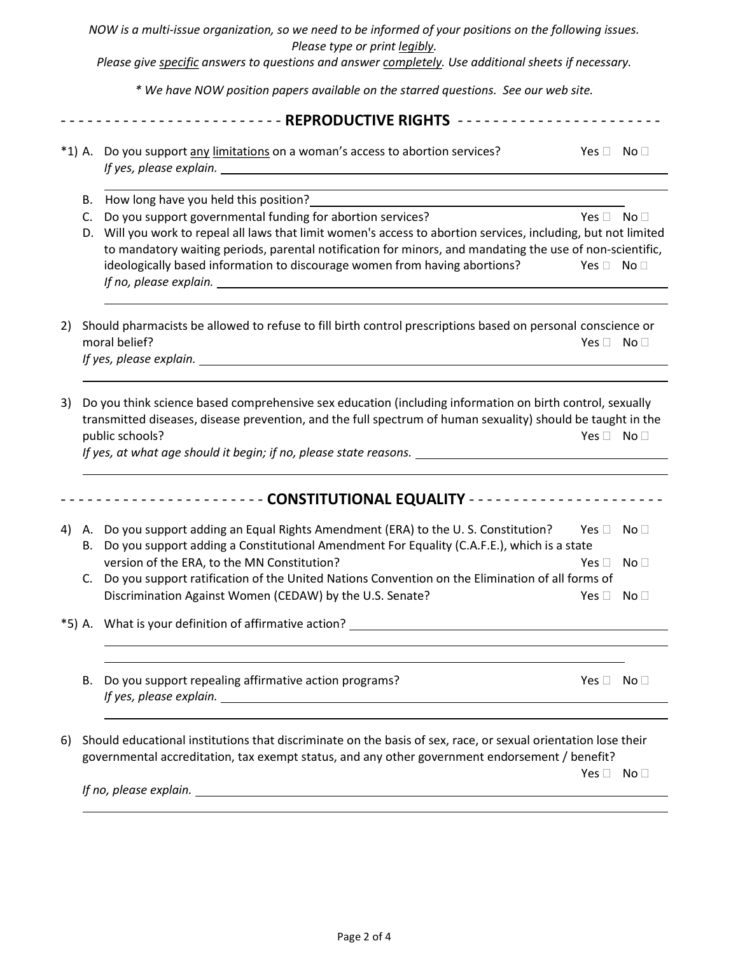NOW is a multi-issue organization, so we need to be informed of your positions on the following issues. Please type or print legibly. Please give specific answers to questions and answer completely. Use additional sheets if necessary. \* We have NOW position papers available on the starred questions. See our web site. - - - - - - - - - - - - - - - - - - - - - - - - - REPRODUCTIVE RIGHTS - - - - - - - - - - - - - - - - - - - - - - - \*1) A. Do you support any limitations on a woman's access to abortion services?  $Yes \Box$  No  $\Box$  If yes, please explain.  $\overline{a}$  B. How long have you held this position? C. Do you support governmental funding for abortion services?  $Yes \Box \text{ No } \Box$ D. Will you work to repeal all laws that limit women's access to abortion services, including, but not limited to mandatory waiting periods, parental notification for minors, and mandating the use of non-scientific, ideologically based information to discourage women from having abortions?  $Yes \Box \ No \Box$  If no, please explain.  $\overline{a}$ 2) Should pharmacists be allowed to refuse to fill birth control prescriptions based on personal conscience or moral belief? No  $\square$ If yes, please explain. 3) Do you think science based comprehensive sex education (including information on birth control, sexually transmitted diseases, disease prevention, and the full spectrum of human sexuality) should be taught in the public schools? No  $\square$ If yes, at what age should it begin; if no, please state reasons.  $\overline{\phantom{a}}$ - - - - - - - - - - - - - - - - - - - - - - - CONSTITUTIONAL EQUALITY - - - - - - - - - - - - - - - - - - - - - - 4) A. Do you support adding an Equal Rights Amendment (ERA) to the U.S. Constitution? Yes  $\Box$  No  $\Box$ B. Do you support adding a Constitutional Amendment For Equality (C.A.F.E.), which is a state version of the ERA, to the MN Constitution?  $Yes \Box \Box$  No  $\Box$ C. Do you support ratification of the United Nations Convention on the Elimination of all forms of Discrimination Against Women (CEDAW) by the U.S. Senate? The Manus of the No  $\square$  No  $\square$ \*5) A. What is your definition of affirmative action?  $\overline{a}$ B. Do you support repealing affirmative action programs?  $Yes \Box$  No  $\Box$  If yes, please explain.  $\overline{a}$ 6) Should educational institutions that discriminate on the basis of sex, race, or sexual orientation lose their governmental accreditation, tax exempt status, and any other government endorsement / benefit?  $\mathsf{Yes} \ \Box \ \ \mathsf{No} \ \Box$ If no, please explain.

 $\overline{a}$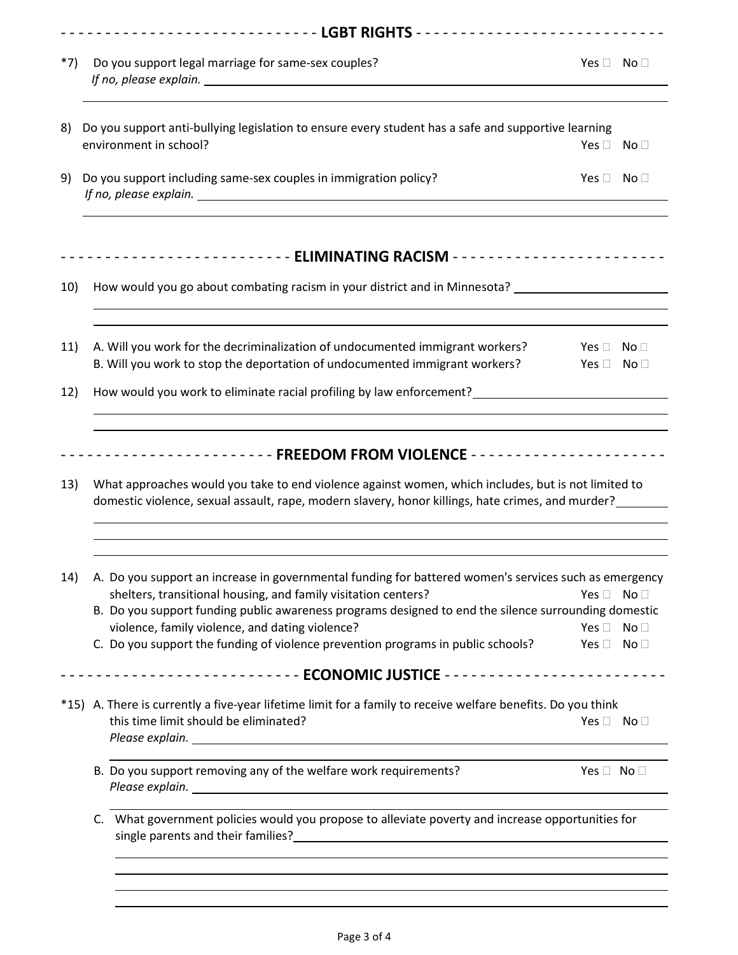| $*7)$             | Do you support legal marriage for same-sex couples?                                                                                                                                                                                                                                                                                                                                           | Yes $\Box$ No $\Box$                         |                 |
|-------------------|-----------------------------------------------------------------------------------------------------------------------------------------------------------------------------------------------------------------------------------------------------------------------------------------------------------------------------------------------------------------------------------------------|----------------------------------------------|-----------------|
| 8)                | Do you support anti-bullying legislation to ensure every student has a safe and supportive learning                                                                                                                                                                                                                                                                                           |                                              |                 |
|                   | environment in school?                                                                                                                                                                                                                                                                                                                                                                        | Yes $\Box$ No $\Box$                         |                 |
| 9)                | Do you support including same-sex couples in immigration policy?<br>If no, please explain. Notice that the set of the set of the set of the set of the set of the set of the set of the set of the set of the set of the set of the set of the set of the set of the set of the set of the set of                                                                                             | Yes $\Box$ No $\Box$                         |                 |
|                   |                                                                                                                                                                                                                                                                                                                                                                                               |                                              |                 |
| 10)               | How would you go about combating racism in your district and in Minnesota? ________________________                                                                                                                                                                                                                                                                                           |                                              |                 |
| 11)               | A. Will you work for the decriminalization of undocumented immigrant workers?<br>B. Will you work to stop the deportation of undocumented immigrant workers?                                                                                                                                                                                                                                  | Yes $\Box$ No $\Box$<br>Yes $\Box$ No $\Box$ |                 |
|                   |                                                                                                                                                                                                                                                                                                                                                                                               |                                              |                 |
|                   | How would you work to eliminate racial profiling by law enforcement?<br>--------------------- FREEDOM FROM VIOLENCE ---------------------                                                                                                                                                                                                                                                     |                                              |                 |
|                   | What approaches would you take to end violence against women, which includes, but is not limited to<br>domestic violence, sexual assault, rape, modern slavery, honor killings, hate crimes, and murder?                                                                                                                                                                                      |                                              |                 |
|                   | A. Do you support an increase in governmental funding for battered women's services such as emergency                                                                                                                                                                                                                                                                                         |                                              |                 |
| 12)<br>13)<br>14) | shelters, transitional housing, and family visitation centers?<br>B. Do you support funding public awareness programs designed to end the silence surrounding domestic                                                                                                                                                                                                                        | Yes $\Box$ No $\Box$                         |                 |
|                   | violence, family violence, and dating violence?<br>C. Do you support the funding of violence prevention programs in public schools?                                                                                                                                                                                                                                                           | Yes $\Box$<br>Yes $\Box$ No $\Box$           | No <sub>1</sub> |
|                   |                                                                                                                                                                                                                                                                                                                                                                                               |                                              |                 |
|                   | *15) A. There is currently a five-year lifetime limit for a family to receive welfare benefits. Do you think<br>this time limit should be eliminated?<br>Please explain. <u>The community of the community of the community of the community of the community of the community of the community of the community of the community of the community of the community of the community of t</u> | Yes $\Box$ No $\Box$                         |                 |
|                   | B. Do you support removing any of the welfare work requirements?                                                                                                                                                                                                                                                                                                                              | Yes $\Box$ No $\Box$                         |                 |